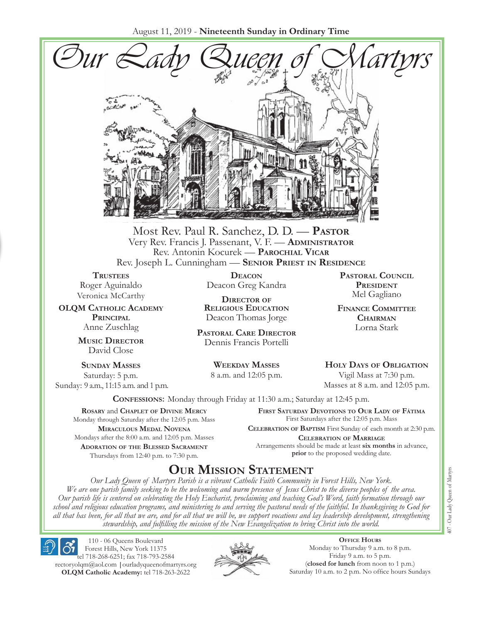August 11, 2019 - **Nineteenth Sunday in Ordinary Time**



Most Rev. Paul R. Sanchez, D. D. — **Pastor** Very Rev. Francis J. Passenant, V. F. — **Administrator** Rev. Antonin Kocurek — **Parochial Vicar** Rev. Joseph L. Cunningham — **Senior Priest in Residence**

**TRUSTEES** Roger Aguinaldo Veronica McCarthy

**OLQM Catholic Academy Principal** Anne Zuschlag

> **Music Director** David Close

**Sunday Masses** Saturday: 5 p.m. Sunday: 9 a.m., 11:15 a.m. and 1 p.m.

**Deacon** Deacon Greg Kandra

**Director of Religious Education** Deacon Thomas Jorge

**Pastoral Care Director** Dennis Francis Portelli

> **Weekday Masses** 8 a.m. and 12:05 p.m.

**Pastoral Council President** Mel Gagliano

**Finance Committee Chairman** Lorna Stark

**Holy Days of Obligation** Vigil Mass at 7:30 p.m.

Masses at 8 a.m. and 12:05 p.m.

**Confessions:** Monday through Friday at 11:30 a.m.; Saturday at 12:45 p.m.

**Rosary** and **Chaplet of Divine Mercy** Monday through Saturday after the 12:05 p.m. Mass **Miraculous Medal Novena** Mondays after the 8:00 a.m. and 12:05 p.m. Masses **Adoration of the Blessed Sacrament** Thursdays from 12:40 p.m. to 7:30 p.m.

**First Saturday Devotions to Our Lady of Fátima** First Saturdays after the 12:05 p.m. Mass

**Celebration of Baptism** First Sunday of each month at 2:30 p.m. **Celebration of Marriage** Arrangements should be made at least **six months** in advance, **prior** to the proposed wedding date.

# **Our Mission Statement**

*Our Lady Queen of Martyrs Parish is a vibrant Catholic Faith Community in Forest Hills, New York. We are one parish family seeking to be the welcoming and warm presence of Jesus Christ to the diverse peoples of the area. Our parish life is centered on celebrating the Holy Eucharist, proclaiming and teaching God's Word, faith formation through our school and religious education programs, and ministering to and serving the pastoral needs of the faithful. In thanksgiving to God for all that has been, for all that we are, and for all that we will be, we support vocations and lay leadership development, strengthening stewardship, and fulfilling the mission of the New Evangelization to bring Christ into the world.*

110 - 06 Queens Boulevard Forest Hills, New York 11375

tel 718-268-6251; fax 718-793-2584 [rectoryolqm@aol.com](mailto:rectoryolqm@aol.com) **|**[ourladyqueenofmartyrs.org](www.ourladyqueenofmartyrs.org) **OLQM Catholic Academy:** tel 718-263-2622



**Office Hours** Monday to Thursday 9 a.m. to 8 p.m. Friday 9 a.m. to 5 p.m. (**closed for lunch** from noon to 1 p.m.) Saturday 10 a.m. to 2 p.m. No office hours Sundays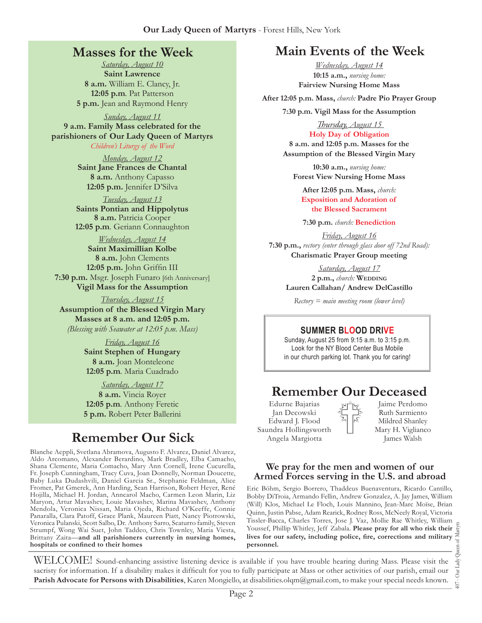### **Masses for the Week**

*Saturday, August 10* **Saint Lawrence 8 a.m.** William E. Clancy, Jr. **12:05 p.m***.* Pat Patterson **5 p.m.** Jean and Raymond Henry

*Sunday, August 11* **9 a.m. Family Mass celebrated for the parishioners of Our Lady Queen of Martyrs**

*Children's Liturgy of the Word* 

*Monday, August 12* **Saint Jane Frances de Chantal 8 a.m.** Anthony Capasso **12:05 p.m.** Jennifer D'Silva

*Tuesday, August 13* **Saints Pontian and Hippolytus 8 a.m.** Patricia Cooper **12:05 p.m***.* Geriann Connaughton

*Wednesday, August 14* **Saint Maximillian Kolbe 8 a.m.** John Clements **12:05 p.m.** John Griffin III **7:30 p.m.** Msgr. Joseph Funaro [6th Anniversary] **Vigil Mass for the Assumption**

*Thursday, August 15*

**Assumption of the Blessed Virgin Mary Masses at 8 a.m. and 12:05 p.m.**  *(Blessing with Seawater at 12:05 p.m. Mass)*

> *Friday, August 16* **Saint Stephen of Hungary 8 a.m.** Joan Monteleone **12:05 p.m***.* Maria Cuadrado

> *Saturday, August 17* **8 a.m.** Vincia Royer **12:05 p.m***.* Anthony Feretic **5 p.m.** Robert Peter Ballerini

# **Remember Our Sick**

Blanche Aeppli, Svetlana Abramova, Augusto F. Alvarez, Daniel Alvarez, Aldo Arcomano, Alexander Berardino, Mark Bradley, Elba Camacho, Shana Clemente, Maria Comacho, Mary Ann Cornell, Irene Cucurella, Fr. Joseph Cunningham, Tracy Cuva, Joan Donnelly, Norman Doucette, Baby Luka Dudashvili, Daniel Garcia Sr., Stephanie Feldman, Alice Fromer, Pat Gmerek, Ann Harding, Sean Harrison, Robert Heyer, René Hojilla, Michael H. Jordan, Anncarol Macho, Carmen Leon Marin, Liz Maryon, Artur Mavashev, Louie Mavashev, Marina Mavashev, Anthony Mendola, Veronica Nissan, Maria Ojeda, Richard O'Keeffe, Connie Panaralla, Clara Patoff, Grace Plank, Maureen Piatt, Nancy Piotrowski, Veronica Pulanski, Scott Salbo, Dr. Anthony Sarro, Scaturro family, Steven Strumpf, Wong Wai Suet, John Taddeo, Chris Townley, Maria Viesta, Brittany Zaita—**and all parishioners currently in nursing homes, hospitals or confined to their homes**

# **Main Events of the Week**

*Wednesday, August 14* **10:15 a.m.,** *nursing home:*  **Fairview Nursing Home Mass**

**After 12:05 p.m. Mass,** *church:* **Padre Pio Prayer Group** 

**7:30 p.m. Vigil Mass for the Assumption**

*Thursday, August 15*  **Holy Day of Obligation 8 a.m. and 12:05 p.m. Masses for the** 

**Assumption of the Blessed Virgin Mary**

**10:30 a.m.,** *nursing home:*  **Forest View Nursing Home Mass**

**After 12:05 p.m. Mass,** *church:*  **Exposition and Adoration of the Blessed Sacrament**

**7:30 p.m.** *church:* **Benediction** 

*Friday, August 16* **7:30 p.m.,** *rectory (enter through glass door off 72nd Road):* **Charismatic Prayer Group meeting**

> *Saturday, August 17* **2 p.m.,** *church:* **Wedding Lauren Callahan/ Andrew DelCastillo**

*Rectory = main meeting room (lower level)*

#### **Summer Blood Drive**

Sunday, August 25 from 9:15 a.m. to 3:15 p.m. Look for the NY Blood Center Bus Mobile in our church parking lot. Thank you for caring!

# **Remember Our Deceased**

Edurne Bajarias Jan Decowski Edward J. Flood Saundra Hollingsworth Angela Margiotta

Jaime Perdomo Ruth Sarmiento Mildred Shanley Mary H. Viglianco James Walsh

#### **We pray for the men and women of our Armed Forces serving in the U.S. and abroad**

Eric Böhm, Sergio Borrero, Thaddeus Buenaventura, Ricardo Cantillo, Bobby DiTroia, Armando Fellin, Andrew Gonzalez, A. Jay James, William (Will) Klos, Michael Le Floch, Louis Mannino, Jean-Marc Moïse, Brian Quinn, Justin Pabse, Adam Rearick, Rodney Ross, McNeely Royal, Victoria Tissler-Bacca, Charles Torres, Jose J. Vaz, Mollie Rae Whitley, William Youssef, Phillip Whitley, Jeff Zabala. **Please pray for all who risk their lives for our safety, including police, fire, corrections and military personnel.**

407 - Our Lady Queen of Martyrs Our Lady  $+00$ 

WELCOME! Sound-enhancing assistive listening device is available if you have trouble hearing during Mass. Please visit the sacristy for information. If a disability makes it difficult for you to fully participate at Mass or other activities of our parish, email our **Parish Advocate for Persons with Disabilities**, Karen Mongiello, at [disabilities.olqm@gmail.com,](mailto:disabilities.olqm@gmail.com) to make your special needs known.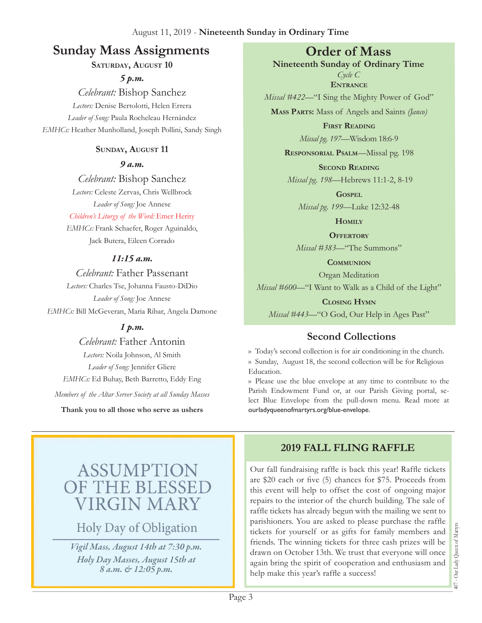# **Sunday Mass Assignments Order of Mass**

SATURDAY, AUGUST 10

*5 p.m.* 

*Celebrant:* Bishop Sanchez *Lectors:* Denise Bertolotti, Helen Errera *Leader of Song:* Paula Rocheleau Hernández *EMHCs:* Heather Munholland, Joseph Pollini, Sandy Singh

### **Sunday, August 11**

*9 a.m.* 

*Celebrant:* Bishop Sanchez *Lectors:* Celeste Zervas, Chris Wellbrock *Leader of Song:* Joe Annese

*Children's Liturgy of the Word:* Emer Herity

*EMHCs:* Frank Schaefer, Roger Aguinaldo, Jack Butera, Eileen Corrado

### *11:15 a.m.*

*Celebrant:* Father Passenant *Lectors:* Charles Tse, Johanna Fausto-DiDio *Leader of Song:* Joe Annese *EMHCs:* Bill McGeveran, Maria Ribar, Angela Damone

### *1 p.m.*

*Celebrant:* Father Antonin *Lectors:* Noila Johnson, Al Smith *Leader of Song:* Jennifer Gliere *EMHCs:* Ed Buhay, Beth Barretto, Eddy Eng *Members of the Altar Server Society at all Sunday Masses*

**Thank you to all those who serve as ushers**

**Nineteenth Sunday of Ordinary Time** *Cycle C* **Entrance**

*Missal #422—*"I Sing the Mighty Power of God"

**Mass Parts:** Mass of Angels and Saints *(Janco)*

**First Reading** *Missal pg. 197—*Wisdom 18:6-9

**Responsorial Psalm**—Missal pg. 198

**Second Reading**

*Missal pg. 198—*Hebrews 11:1-2, 8-19

**Gospel** *Missal pg. 199—*Luke 12:32-48

**Homily**

**Offertory** *Missal #383—*"The Summons"

**Communion** Organ Meditation

*Missal #600—*"I Want to Walk as a Child of the Light"

**Closing Hymn** *Missal #443*—"O God, Our Help in Ages Past"

# **Second Collections**

›› Today's second collection is for air conditioning in the church. ›› Sunday, August 18, the second collection will be for Religious Education.

›› Please use the blue envelope at any time to contribute to the Parish Endowment Fund or, at our Parish Giving portal, select Blue Envelope from the pull-down menu. Read more at ourladyqueenofmartyrs.org/blue-envelope.

# ASSUMPTI E THE BLESS **VIRGIN MARY**

Holy Day of Obligation

*Vigil Mass, August 14th at 7:30 p.m. Holy Day Masses, August 15th at 8 a.m. & 12:05 p.m.*

# **2019 Fall Fling Raffle**

Our fall fundraising raffle is back this year! Raffle tickets are \$20 each or five (5) chances for \$75. Proceeds from this event will help to offset the cost of ongoing major repairs to the interior of the church building. The sale of raffle tickets has already begun with the mailing we sent to parishioners. You are asked to please purchase the raffle tickets for yourself or as gifts for family members and friends. The winning tickets for three cash prizes will be drawn on October 13th. We trust that everyone will once again bring the spirit of cooperation and enthusiasm and help make this year's raffle a success!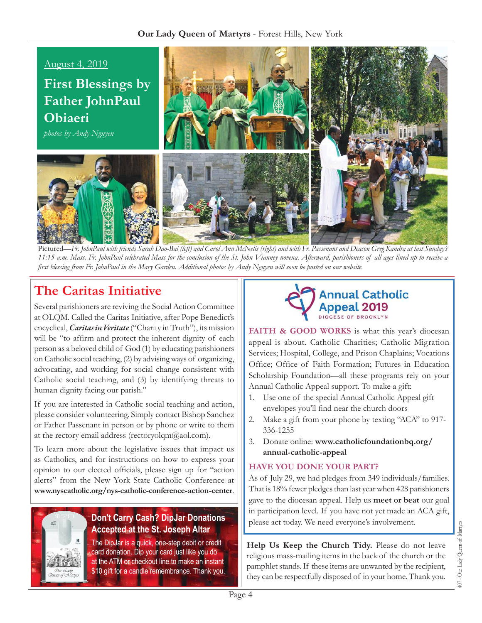

Pictured—*Fr. JohnPaul with friends Sarah Dao-Bai (left) and Carol Ann McNelis (right) and with Fr. Passenant and Deacon Greg Kandra at last Sunday's 11:15 a.m. Mass. Fr. JohnPaul celebrated Mass for the conclusion of the St. John Vianney novena. Afterward, parishioners of all ages lined up to receive a first blessing from Fr. JohnPaul in the Mary Garden. Additional photos by Andy Nguyen will soon be posted on our website.*

# **The Caritas Initiative**

Several parishioners are reviving the Social Action Committee at OLQM. Called the Caritas Initiative, after Pope Benedict's encyclical, *Caritas in Veritate* ("Charity in Truth"), its mission will be "to affirm and protect the inherent dignity of each person as a beloved child of God (1) by educating parishioners on Catholic social teaching, (2) by advising ways of organizing, advocating, and working for social change consistent with Catholic social teaching, and (3) by identifying threats to human dignity facing our parish."

If you are interested in Catholic social teaching and action, please consider volunteering. Simply contact Bishop Sanchez or Father Passenant in person or by phone or write to them at the rectory email address (rectoryolqm@aol.com).

To learn more about the legislative issues that impact us as Catholics, and for instructions on how to express your opinion to our elected officials, please sign up for "action alerts" from the New York State Catholic Conference at **[www.nyscatholic.org/nys-catholic-conference-action-center](https://www.nyscatholic.org/nys-catholic-conference-action-center/)**.



### **Don't Carry Cash? DipJar Donations Accepted at the St. Joseph Altar**

The DipJar is a quick, one-step debit or credit card donation. Dip your card just like you do at the ATM or checkout line to make an instant \$10 gift for a candle remembrance. Thank you.



FAITH & GOOD WORKS is what this year's diocesan appeal is about. Catholic Charities; Catholic Migration Services; Hospital, College, and Prison Chaplains; Vocations Office; Office of Faith Formation; Futures in Education Scholarship Foundation—all these programs rely on your Annual Catholic Appeal support. To make a gift:

- 1. Use one of the special Annual Catholic Appeal gift envelopes you'll find near the church doors
- 2. Make a gift from your phone by texting "ACA" to 917- 336-1255
- 3. Donate online: **[www.catholicfoundationbq.org/](www.catholicfoundationbq.org/annual) [annual-](www.catholicfoundationbq.org/annual)catholic-appeal**

### **Have you done your part?**

As of July 29, we had pledges from 349 individuals/families. That is 18% fewer pledges than last year when 428 parishioners gave to the diocesan appeal. Help us **meet or beat** our goal in participation level. If you have not yet made an ACA gift, please act today. We need everyone's involvement.

**Help Us Keep the Church Tidy.** Please do not leave religious mass-mailing items in the back of the church or the pamphlet stands. If these items are unwanted by the recipient, they can be respectfully disposed of in your home. Thank you.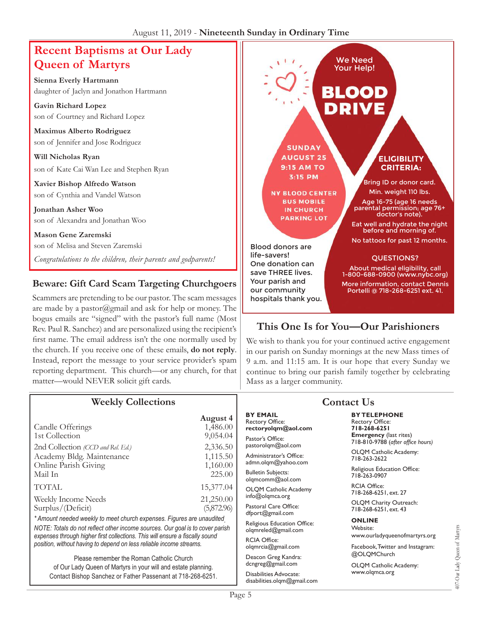# **Recent Baptisms at Our Lady Queen of Martyrs**

**Sienna Everly Hartmann** daughter of Jaclyn and Jonathon Hartmann

**Gavin Richard Lopez** son of Courtney and Richard Lopez

**Maximus Alberto Rodriguez** son of Jennifer and Jose Rodriguez

**Will Nicholas Ryan** son of Kate Cai Wan Lee and Stephen Ryan

**Xavier Bishop Alfredo Watson** son of Cynthia and Vandel Watson

**Jonathan Asher Woo** son of Alexandra and Jonathan Woo

**Mason Gene Zaremski** son of Melisa and Steven Zaremski *Congratulations to the children, their parents and godparents!*

### **Beware: Gift Card Scam Targeting Churchgoers**

Scammers are pretending to be our pastor. The scam messages are made by a pastor@gmail and ask for help or money. The bogus emails are "signed" with the pastor's full name (Most Rev. Paul R. Sanchez) and are personalized using the recipient's first name. The email address isn't the one normally used by the church. If you receive one of these emails, **do not reply**. Instead, report the message to your service provider's spam reporting department. This church—or any church, for that matter—would NEVER solicit gift cards.



### **This One Is for You—Our Parishioners**

We wish to thank you for your continued active engagement in our parish on Sunday mornings at the new Mass times of 9 a.m. and 11:15 am. It is our hope that every Sunday we continue to bring our parish family together by celebrating Mass as a larger community.

| <b>Weekly Collections</b>                                                                                                                                                                                                                                                                                                                              |                                                                                                                        | <b>Contact Us</b>                                                                                                                                                                                                                                                                                                                                            |                                                                                                                                                                                                                                                                                                                                                              |
|--------------------------------------------------------------------------------------------------------------------------------------------------------------------------------------------------------------------------------------------------------------------------------------------------------------------------------------------------------|------------------------------------------------------------------------------------------------------------------------|--------------------------------------------------------------------------------------------------------------------------------------------------------------------------------------------------------------------------------------------------------------------------------------------------------------------------------------------------------------|--------------------------------------------------------------------------------------------------------------------------------------------------------------------------------------------------------------------------------------------------------------------------------------------------------------------------------------------------------------|
| Candle Offerings<br>1st Collection<br>2nd Collection (CCD and Rel. Ed.)<br>Academy Bldg. Maintenance<br>Online Parish Giving<br>Mail In<br>TOTAL<br>Weekly Income Needs<br>Surplus/(Deficit)<br>* Amount needed weekly to meet church expenses. Figures are unaudited<br>NOTE: Totals do not reflect other income sources. Our goal is to cover parish | August 4<br>1,486.00<br>9,054.04<br>2,336.50<br>1,115.50<br>1,160.00<br>225.00<br>15,377.04<br>21,250.00<br>(5,872.96) | <b>BY EMAIL</b><br><b>Rectory Office:</b><br>rectoryolqm@aol.com<br>Pastor's Office:<br>pastorolqm@aol.com<br>Administrator's Office:<br>admn.olqm@yahoo.com<br><b>Bulletin Subjects:</b><br>olgmcomm@aol.com<br>OLQM Catholic Academy<br>info@olqmca.org<br>Pastoral Care Office:<br>dfport@gmail.com<br>Religious Education Office:<br>olgmreled@gmail.com | <b>BY TELEPHONE</b><br><b>Rectory Office:</b><br>718-268-6251<br><b>Emergency</b> (last rites)<br>718-810-9788 (after office hours)<br>OLQM Catholic Academy:<br>718-263-2622<br>Religious Education Office:<br>718-263-0907<br><b>RCIA Office:</b><br>718-268-6251, ext. 27<br>OLQM Charity Outreach:<br>718-268-6251, ext. 43<br><b>ONLINE</b><br>Website: |
| expenses through higher first collections. This will ensure a fiscally sound<br>position, without having to depend on less reliable income streams.                                                                                                                                                                                                    |                                                                                                                        | <b>RCIA Office:</b><br>olqmrcia@gmail.com                                                                                                                                                                                                                                                                                                                    | www.ourladyqueenofmartyrs.org<br>Facebook, Twitter and Instagram:<br>@OLQMChurch                                                                                                                                                                                                                                                                             |
| Please remember the Roman Catholic Church<br>of Our Lady Queen of Martyrs in your will and estate planning.<br>Contact Bishop Sanchez or Father Passenant at 718-268-6251.                                                                                                                                                                             |                                                                                                                        | Deacon Greg Kandra:<br>dcngreg@gmail.com<br>Disabilities Advocate:<br>disabilities.olgm@gmail.com                                                                                                                                                                                                                                                            | OLQM Catholic Academy:<br>www.olgmca.org                                                                                                                                                                                                                                                                                                                     |